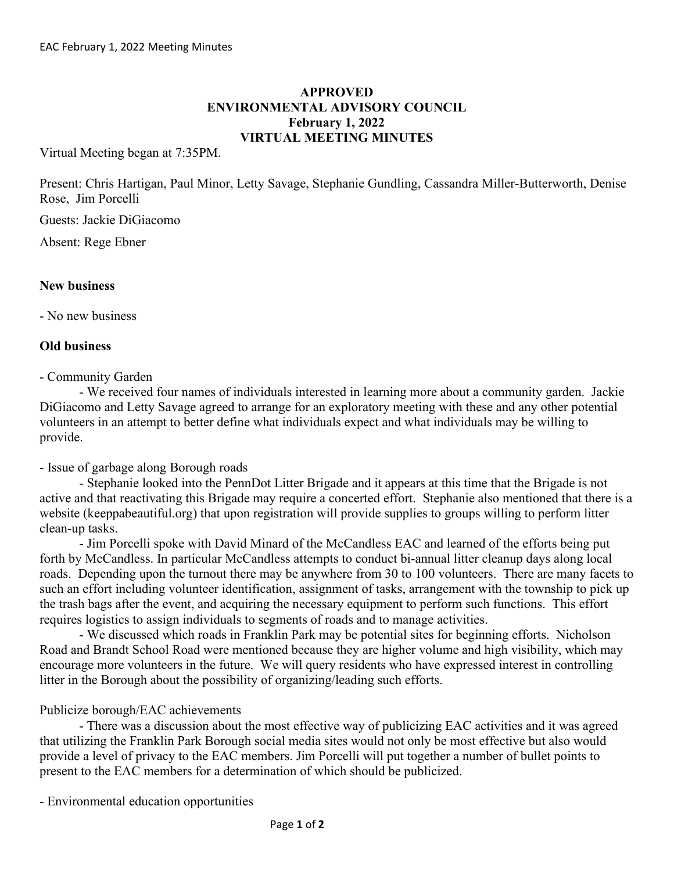## **APPROVED ENVIRONMENTAL ADVISORY COUNCIL February 1, 2022 VIRTUAL MEETING MINUTES**

Virtual Meeting began at 7:35PM.

Present: Chris Hartigan, Paul Minor, Letty Savage, Stephanie Gundling, Cassandra Miller-Butterworth, Denise Rose, Jim Porcelli

Guests: Jackie DiGiacomo

Absent: Rege Ebner

## **New business**

- No new business

## **Old business**

- Community Garden

- We received four names of individuals interested in learning more about a community garden. Jackie DiGiacomo and Letty Savage agreed to arrange for an exploratory meeting with these and any other potential volunteers in an attempt to better define what individuals expect and what individuals may be willing to provide.

- Issue of garbage along Borough roads

- Stephanie looked into the PennDot Litter Brigade and it appears at this time that the Brigade is not active and that reactivating this Brigade may require a concerted effort. Stephanie also mentioned that there is a website (keeppabeautiful.org) that upon registration will provide supplies to groups willing to perform litter clean-up tasks.

- Jim Porcelli spoke with David Minard of the McCandless EAC and learned of the efforts being put forth by McCandless. In particular McCandless attempts to conduct bi-annual litter cleanup days along local roads. Depending upon the turnout there may be anywhere from 30 to 100 volunteers. There are many facets to such an effort including volunteer identification, assignment of tasks, arrangement with the township to pick up the trash bags after the event, and acquiring the necessary equipment to perform such functions. This effort requires logistics to assign individuals to segments of roads and to manage activities.

- We discussed which roads in Franklin Park may be potential sites for beginning efforts. Nicholson Road and Brandt School Road were mentioned because they are higher volume and high visibility, which may encourage more volunteers in the future. We will query residents who have expressed interest in controlling litter in the Borough about the possibility of organizing/leading such efforts.

## Publicize borough/EAC achievements

- There was a discussion about the most effective way of publicizing EAC activities and it was agreed that utilizing the Franklin Park Borough social media sites would not only be most effective but also would provide a level of privacy to the EAC members. Jim Porcelli will put together a number of bullet points to present to the EAC members for a determination of which should be publicized.

- Environmental education opportunities